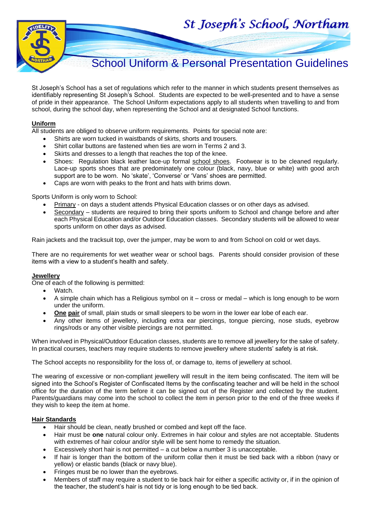St Joseph's School, Northam



# School Uniform & Personal Presentation Guidelines

St Joseph's School has a set of regulations which refer to the manner in which students present themselves as identifiably representing St Joseph's School. Students are expected to be well-presented and to have a sense of pride in their appearance. The School Uniform expectations apply to all students when travelling to and from school, during the school day, when representing the School and at designated School functions.

#### **Uniform**

All students are obliged to observe uniform requirements. Points for special note are:

- Shirts are worn tucked in waistbands of skirts, shorts and trousers.
- Shirt collar buttons are fastened when ties are worn in Terms 2 and 3.
- Skirts and dresses to a length that reaches the top of the knee.
- Shoes: Regulation black leather lace-up formal school shoes. Footwear is to be cleaned regularly. Lace-up sports shoes that are predominately one colour (black, navy, blue or white) with good arch support are to be worn. No 'skate', 'Converse' or 'Vans' shoes are permitted.
- Caps are worn with peaks to the front and hats with brims down.

Sports Uniform is only worn to School:

- Primary on days a student attends Physical Education classes or on other days as advised.
- Secondary students are required to bring their sports uniform to School and change before and after each Physical Education and/or Outdoor Education classes. Secondary students will be allowed to wear sports uniform on other days as advised.

Rain jackets and the tracksuit top, over the jumper, may be worn to and from School on cold or wet days.

There are no requirements for wet weather wear or school bags. Parents should consider provision of these items with a view to a student's health and safety.

#### **Jewellery**

One of each of the following is permitted:

- Watch.
- A simple chain which has a Religious symbol on it cross or medal which is long enough to be worn under the uniform.
- **One pair** of small, plain studs or small sleepers to be worn in the lower ear lobe of each ear.
- Any other items of jewellery, including extra ear piercings, tongue piercing, nose studs, eyebrow rings/rods or any other visible piercings are not permitted.

When involved in Physical/Outdoor Education classes, students are to remove all jewellery for the sake of safety. In practical courses, teachers may require students to remove jewellery where students' safety is at risk.

The School accepts no responsibility for the loss of, or damage to, items of jewellery at school.

The wearing of excessive or non-compliant jewellery will result in the item being confiscated. The item will be signed into the School's Register of Confiscated Items by the confiscating teacher and will be held in the school office for the duration of the term before it can be signed out of the Register and collected by the student. Parents/guardians may come into the school to collect the item in person prior to the end of the three weeks if they wish to keep the item at home.

#### **Hair Standards**

- Hair should be clean, neatly brushed or combed and kept off the face.
- Hair must be **one** natural colour only. Extremes in hair colour and styles are not acceptable. Students with extremes of hair colour and/or style will be sent home to remedy the situation.
- Excessively short hair is not permitted a cut below a number 3 is unacceptable.
- If hair is longer than the bottom of the uniform collar then it must be tied back with a ribbon (navy or yellow) or elastic bands (black or navy blue).
- Fringes must be no lower than the eyebrows.
- Members of staff may require a student to tie back hair for either a specific activity or, if in the opinion of the teacher, the student's hair is not tidy or is long enough to be tied back.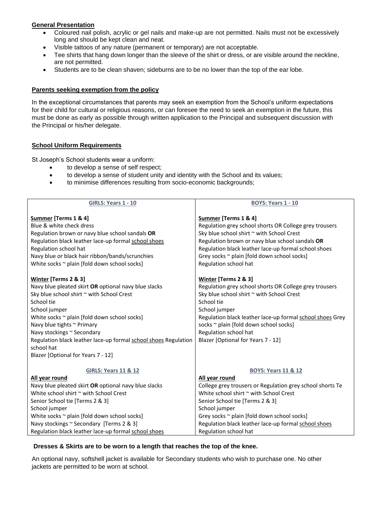## **General Presentation**

- Coloured nail polish, acrylic or gel nails and make-up are not permitted. Nails must not be excessively long and should be kept clean and neat.
- Visible tattoos of any nature (permanent or temporary) are not acceptable.
- Tee shirts that hang down longer than the sleeve of the shirt or dress, or are visible around the neckline, are not permitted.
- Students are to be clean shaven; sideburns are to be no lower than the top of the ear lobe.

#### **Parents seeking exemption from the policy**

In the exceptional circumstances that parents may seek an exemption from the School's uniform expectations for their child for cultural or religious reasons, or can foresee the need to seek an exemption in the future, this must be done as early as possible through written application to the Principal and subsequent discussion with the Principal or his/her delegate.

## **School Uniform Requirements**

St Joseph's School students wear a uniform:

- to develop a sense of self respect;
- to develop a sense of student unity and identity with the School and its values;
- to minimise differences resulting from socio-economic backgrounds;

| <b>GIRLS: Years 1 - 10</b>                                      | <b>BOYS: Years 1 - 10</b>                                 |  |
|-----------------------------------------------------------------|-----------------------------------------------------------|--|
| Summer [Terms 1 & 4]                                            | Summer [Terms 1 & 4]                                      |  |
| Blue & white check dress                                        | Regulation grey school shorts OR College grey trousers    |  |
| Regulation brown or navy blue school sandals OR                 | Sky blue school shirt ~ with School Crest                 |  |
| Regulation black leather lace-up formal school shoes            | Regulation brown or navy blue school sandals OR           |  |
| Regulation school hat                                           | Regulation black leather lace-up formal school shoes      |  |
| Navy blue or black hair ribbon/bands/scrunchies                 | Grey socks ~ plain [fold down school socks]               |  |
| White socks ~ plain [fold down school socks]                    | Regulation school hat                                     |  |
|                                                                 |                                                           |  |
| <b>Winter [Terms 2 &amp; 3]</b>                                 | <b>Winter [Terms 2 &amp; 3]</b>                           |  |
| Navy blue pleated skirt OR optional navy blue slacks            | Regulation grey school shorts OR College grey trousers    |  |
| Sky blue school shirt ~ with School Crest                       | Sky blue school shirt ~ with School Crest                 |  |
| School tie                                                      | School tie                                                |  |
| School jumper                                                   | School jumper                                             |  |
| White socks ~ plain [fold down school socks]                    | Regulation black leather lace-up formal school shoes Grey |  |
| Navy blue tights ~ Primary                                      | socks ~ plain [fold down school socks]                    |  |
| Navy stockings ~ Secondary                                      | Regulation school hat                                     |  |
| Regulation black leather lace-up formal school shoes Regulation | Blazer [Optional for Years 7 - 12]                        |  |
| school hat                                                      |                                                           |  |
| Blazer [Optional for Years 7 - 12]                              |                                                           |  |
|                                                                 |                                                           |  |
| <b>GIRLS: Years 11 &amp; 12</b>                                 | <b>BOYS: Years 11 &amp; 12</b>                            |  |
| All year round                                                  | All year round                                            |  |
| Navy blue pleated skirt OR optional navy blue slacks            | College grey trousers or Regulation grey school shorts Te |  |
| White school shirt ~ with School Crest                          | White school shirt ~ with School Crest                    |  |
| Senior School tie [Terms 2 & 3]                                 | Senior School tie [Terms 2 & 3]                           |  |
| School jumper                                                   | School jumper                                             |  |
| White socks ~ plain [fold down school socks]                    | Grey socks ~ plain [fold down school socks]               |  |
| Navy stockings ~ Secondary [Terms 2 & 3]                        | Regulation black leather lace-up formal school shoes      |  |
| Regulation black leather lace-up formal school shoes            | Regulation school hat                                     |  |

#### **Dresses & Skirts are to be worn to a length that reaches the top of the knee.**

An optional navy, softshell jacket is available for Secondary students who wish to purchase one. No other jackets are permitted to be worn at school.